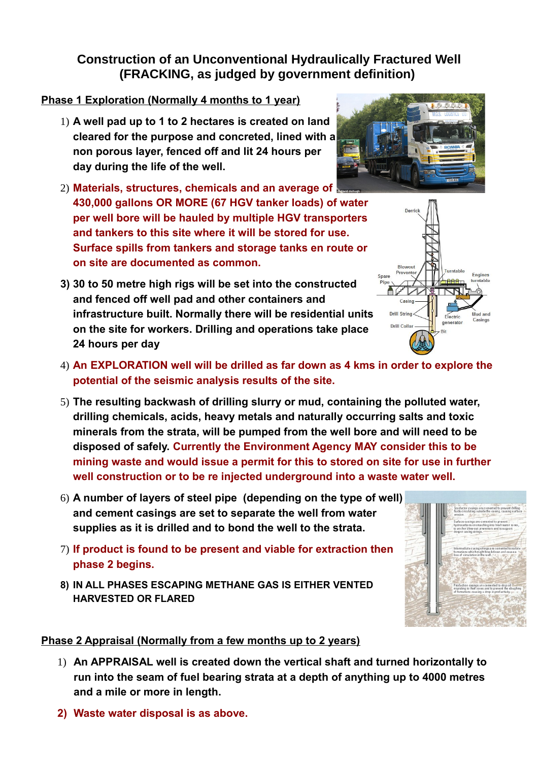# **Construction of an Unconventional Hydraulically Fractured Well (FRACKING, as judged by government definition)**

### **Phase 1 Exploration (Normally 4 months to 1 year)**

- 1) **A well pad up to 1 to 2 hectares is created on land cleared for the purpose and concreted, lined with a non porous layer, fenced off and lit 24 hours per day during the life of the well.**
- 2) **Materials, structures, chemicals and an average of 430,000 gallons OR MORE (67 HGV tanker loads) of water per well bore will be hauled by multiple HGV transporters and tankers to this site where it will be stored for use. Surface spills from tankers and storage tanks en route or on site are documented as common.**
- **3) 30 to 50 metre high rigs will be set into the constructed and fenced off well pad and other containers and infrastructure built. Normally there will be residential units on the site for workers. Drilling and operations take place 24 hours per day**
- 4) **An EXPLORATION well will be drilled as far down as 4 kms in order to explore the potential of the seismic analysis results of the site.**
- 5) **The resulting backwash of drilling slurry or mud, containing the polluted water, drilling chemicals, acids, heavy metals and naturally occurring salts and toxic minerals from the strata, will be pumped from the well bore and will need to be disposed of safely. Currently the Environment Agency MAY consider this to be mining waste and would issue a permit for this to stored on site for use in further well construction or to be re injected underground into a waste water well.**
- 6) **A number of layers of steel pipe (depending on the type of well) and cement casings are set to separate the well from water supplies as it is drilled and to bond the well to the strata.**
- 7) **If product is found to be present and viable for extraction then phase 2 begins.**
- **8) IN ALL PHASES ESCAPING METHANE GAS IS EITHER VENTED HARVESTED OR FLARED**

#### **Phase 2 Appraisal (Normally from a few months up to 2 years)**

- 1) **An APPRAISAL well is created down the vertical shaft and turned horizontally to run into the seam of fuel bearing strata at a depth of anything up to 4000 metres and a mile or more in length.**
- **2) Waste water disposal is as above.**





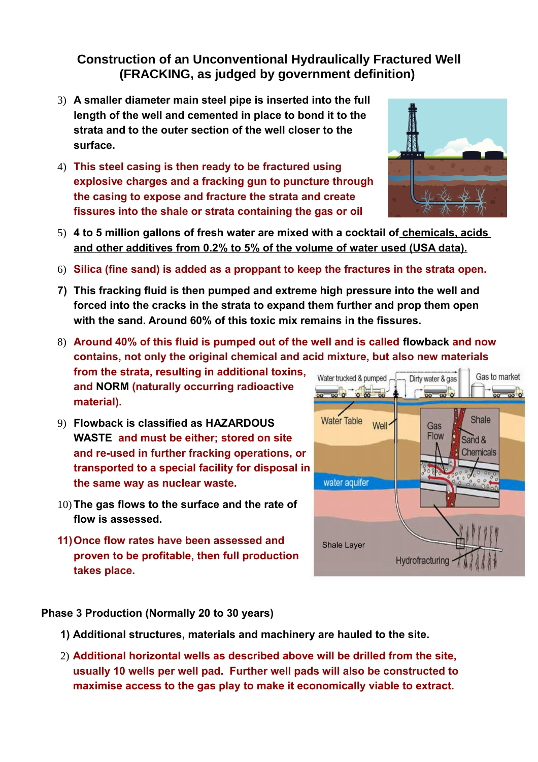# **Construction of an Unconventional Hydraulically Fractured Well (FRACKING, as judged by government definition)**

- 3) **A smaller diameter main steel pipe is inserted into the full length of the well and cemented in place to bond it to the strata and to the outer section of the well closer to the surface.**
- 4) **This steel casing is then ready to be fractured using explosive charges and a fracking gun to puncture through the casing to expose and fracture the strata and create fissures into the shale or strata containing the gas or oil**
- 5) **4 to 5 million gallons of fresh water are mixed with a cocktail of chemicals, acids and other additives from 0.2% to 5% of the volume of water used (USA data).**
- 6) **Silica (fine sand) is added as a proppant to keep the fractures in the strata open.**
- **7) This fracking fluid is then pumped and extreme high pressure into the well and forced into the cracks in the strata to expand them further and prop them open with the sand. Around 60% of this toxic mix remains in the fissures.**
- 8) **Around 40% of this fluid is pumped out of the well and is called flowback and now contains, not only the original chemical and acid mixture, but also new materials**

**from the strata, resulting in additional toxins, and NORM (naturally occurring radioactive material).** 

- 9) **Flowback is classified as HAZARDOUS WASTE and must be either; stored on site and re-used in further fracking operations, or transported to a special facility for disposal in the same way as nuclear waste.**
- 10) **The gas flows to the surface and the rate of flow is assessed.**
- **11)Once flow rates have been assessed and proven to be profitable, then full production takes place.**



#### **Phase 3 Production (Normally 20 to 30 years)**

- **1) Additional structures, materials and machinery are hauled to the site.**
- 2) **Additional horizontal wells as described above will be drilled from the site, usually 10 wells per well pad. Further well pads will also be constructed to maximise access to the gas play to make it economically viable to extract.**